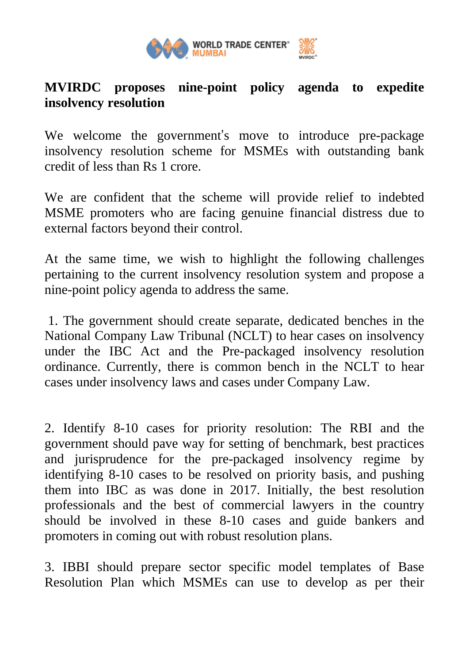

## **MVIRDC proposes nine-point policy agenda to expedite insolvency resolution**

We welcome the government's move to introduce pre-package insolvency resolution scheme for MSMEs with outstanding bank credit of less than Rs 1 crore.

We are confident that the scheme will provide relief to indebted MSME promoters who are facing genuine financial distress due to external factors beyond their control.

At the same time, we wish to highlight the following challenges pertaining to the current insolvency resolution system and propose a nine-point policy agenda to address the same.

1. The government should create separate, dedicated benches in the National Company Law Tribunal (NCLT) to hear cases on insolvency under the IBC Act and the Pre-packaged insolvency resolution ordinance. Currently, there is common bench in the NCLT to hear cases under insolvency laws and cases under Company Law.

2. Identify 8-10 cases for priority resolution: The RBI and the government should pave way for setting of benchmark, best practices and jurisprudence for the pre-packaged insolvency regime by identifying 8-10 cases to be resolved on priority basis, and pushing them into IBC as was done in 2017. Initially, the best resolution professionals and the best of commercial lawyers in the country should be involved in these 8-10 cases and guide bankers and promoters in coming out with robust resolution plans.

3. IBBI should prepare sector specific model templates of Base Resolution Plan which MSMEs can use to develop as per their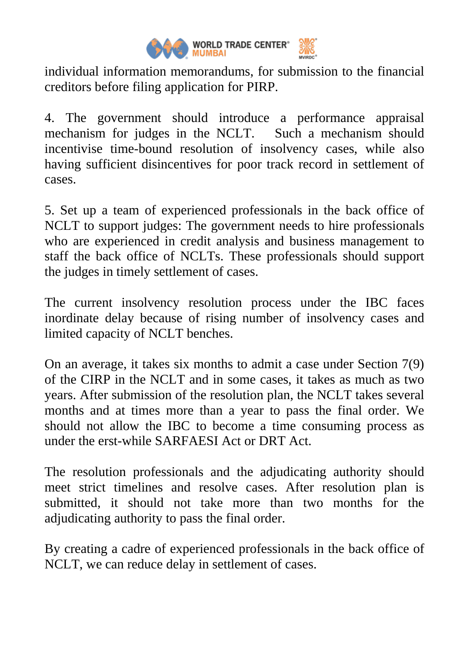

individual information memorandums, for submission to the financial creditors before filing application for PIRP.

4. The government should introduce a performance appraisal mechanism for judges in the NCLT. Such a mechanism should incentivise time-bound resolution of insolvency cases, while also having sufficient disincentives for poor track record in settlement of cases.

5. Set up a team of experienced professionals in the back office of NCLT to support judges: The government needs to hire professionals who are experienced in credit analysis and business management to staff the back office of NCLTs. These professionals should support the judges in timely settlement of cases.

The current insolvency resolution process under the IBC faces inordinate delay because of rising number of insolvency cases and limited capacity of NCLT benches.

On an average, it takes six months to admit a case under Section 7(9) of the CIRP in the NCLT and in some cases, it takes as much as two years. After submission of the resolution plan, the NCLT takes several months and at times more than a year to pass the final order. We should not allow the IBC to become a time consuming process as under the erst-while SARFAESI Act or DRT Act.

The resolution professionals and the adjudicating authority should meet strict timelines and resolve cases. After resolution plan is submitted, it should not take more than two months for the adjudicating authority to pass the final order.

By creating a cadre of experienced professionals in the back office of NCLT, we can reduce delay in settlement of cases.